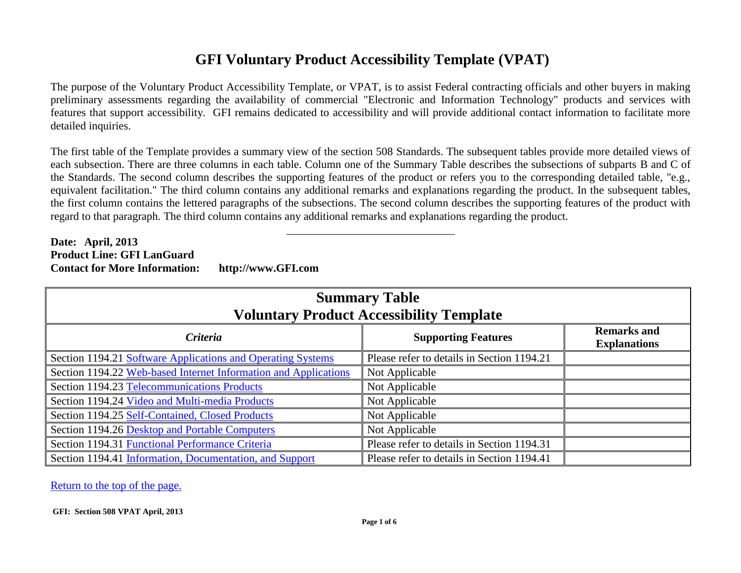## **GFI Voluntary Product Accessibility Template (VPAT)**

<span id="page-0-0"></span>The purpose of the Voluntary Product Accessibility Template, or VPAT, is to assist Federal contracting officials and other buyers in making preliminary assessments regarding the availability of commercial "Electronic and Information Technology" products and services with features that support accessibility. GFI remains dedicated to accessibility and will provide additional contact information to facilitate more detailed inquiries.

The first table of the Template provides a summary view of the section 508 Standards. The subsequent tables provide more detailed views of each subsection. There are three columns in each table. Column one of the Summary Table describes the subsections of subparts B and C of the Standards. The second column describes the supporting features of the product or refers you to the corresponding detailed table, "e.g., equivalent facilitation." The third column contains any additional remarks and explanations regarding the product. In the subsequent tables, the first column contains the lettered paragraphs of the subsections. The second column describes the supporting features of the product with regard to that paragraph. The third column contains any additional remarks and explanations regarding the product.

## **Date: April, 2013 Product Line: GFI LanGuard Contact for More Information: http://www.GFI.com**

| <b>Summary Table</b><br><b>Voluntary Product Accessibility Template</b> |                                            |                                           |  |
|-------------------------------------------------------------------------|--------------------------------------------|-------------------------------------------|--|
| Criteria<br><b>Supporting Features</b>                                  |                                            | <b>Remarks and</b><br><b>Explanations</b> |  |
| Section 1194.21 Software Applications and Operating Systems             | Please refer to details in Section 1194.21 |                                           |  |
| Section 1194.22 Web-based Internet Information and Applications         | Not Applicable                             |                                           |  |
| Section 1194.23 Telecommunications Products                             | Not Applicable                             |                                           |  |
| Section 1194.24 Video and Multi-media Products                          | Not Applicable                             |                                           |  |
| Section 1194.25 Self-Contained, Closed Products                         | Not Applicable                             |                                           |  |
| Section 1194.26 Desktop and Portable Computers                          | Not Applicable                             |                                           |  |
| Section 1194.31 Functional Performance Criteria                         | Please refer to details in Section 1194.31 |                                           |  |
| Section 1194.41 Information, Documentation, and Support                 | Please refer to details in Section 1194.41 |                                           |  |

[Return to the top of the page.](#page-0-0)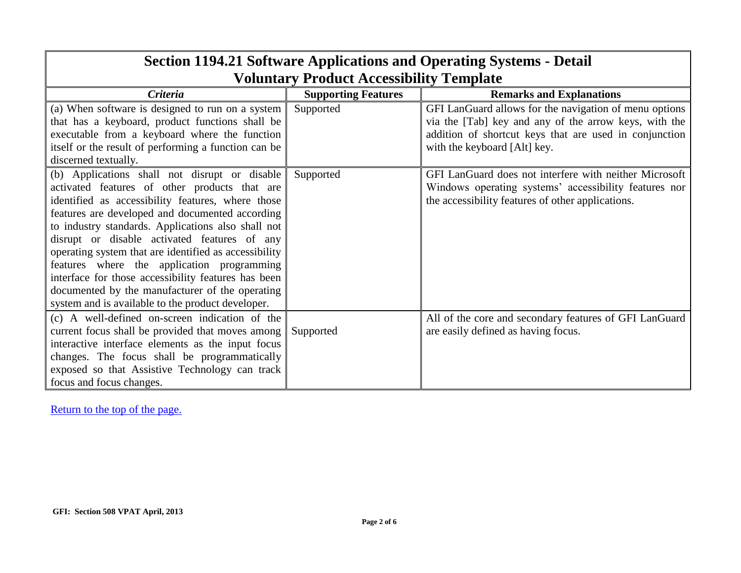<span id="page-1-0"></span>

| <b>Section 1194.21 Software Applications and Operating Systems - Detail</b>                                                                                                                                                                                                                                                                                                                                                                                                                                                                                                        |                            |                                                                                                                                                                                                           |  |
|------------------------------------------------------------------------------------------------------------------------------------------------------------------------------------------------------------------------------------------------------------------------------------------------------------------------------------------------------------------------------------------------------------------------------------------------------------------------------------------------------------------------------------------------------------------------------------|----------------------------|-----------------------------------------------------------------------------------------------------------------------------------------------------------------------------------------------------------|--|
| <b>Voluntary Product Accessibility Template</b>                                                                                                                                                                                                                                                                                                                                                                                                                                                                                                                                    |                            |                                                                                                                                                                                                           |  |
| <b>Criteria</b>                                                                                                                                                                                                                                                                                                                                                                                                                                                                                                                                                                    | <b>Supporting Features</b> | <b>Remarks and Explanations</b>                                                                                                                                                                           |  |
| (a) When software is designed to run on a system<br>that has a keyboard, product functions shall be<br>executable from a keyboard where the function<br>itself or the result of performing a function can be<br>discerned textually.                                                                                                                                                                                                                                                                                                                                               | Supported                  | GFI LanGuard allows for the navigation of menu options<br>via the [Tab] key and any of the arrow keys, with the<br>addition of shortcut keys that are used in conjunction<br>with the keyboard [Alt] key. |  |
| (b) Applications shall not disrupt or disable<br>activated features of other products that are<br>identified as accessibility features, where those<br>features are developed and documented according<br>to industry standards. Applications also shall not<br>disrupt or disable activated features of any<br>operating system that are identified as accessibility<br>features where the application programming<br>interface for those accessibility features has been<br>documented by the manufacturer of the operating<br>system and is available to the product developer. | Supported                  | GFI LanGuard does not interfere with neither Microsoft<br>Windows operating systems' accessibility features nor<br>the accessibility features of other applications.                                      |  |
| (c) A well-defined on-screen indication of the<br>current focus shall be provided that moves among<br>interactive interface elements as the input focus<br>changes. The focus shall be programmatically<br>exposed so that Assistive Technology can track<br>focus and focus changes.                                                                                                                                                                                                                                                                                              | Supported                  | All of the core and secondary features of GFI LanGuard<br>are easily defined as having focus.                                                                                                             |  |

## **Section 1194.21 Software Applications and Operating Systems - Detail**

┑

[Return to the top of the page.](#page-0-0)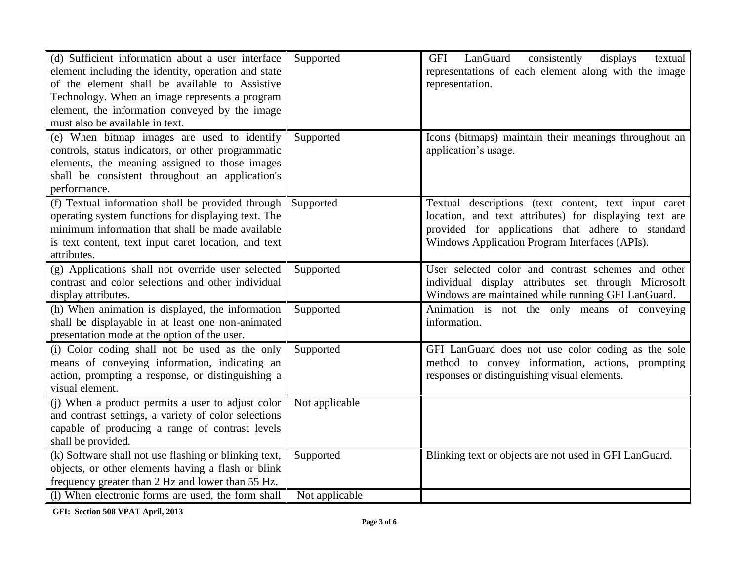| (d) Sufficient information about a user interface<br>element including the identity, operation and state<br>of the element shall be available to Assistive<br>Technology. When an image represents a program<br>element, the information conveyed by the image<br>must also be available in text. | Supported      | LanGuard<br>consistently<br>displays<br>GFI<br>textual<br>representations of each element along with the image<br>representation.                                                                                     |
|---------------------------------------------------------------------------------------------------------------------------------------------------------------------------------------------------------------------------------------------------------------------------------------------------|----------------|-----------------------------------------------------------------------------------------------------------------------------------------------------------------------------------------------------------------------|
| (e) When bitmap images are used to identify<br>controls, status indicators, or other programmatic<br>elements, the meaning assigned to those images<br>shall be consistent throughout an application's<br>performance.                                                                            | Supported      | Icons (bitmaps) maintain their meanings throughout an<br>application's usage.                                                                                                                                         |
| (f) Textual information shall be provided through<br>operating system functions for displaying text. The<br>minimum information that shall be made available<br>is text content, text input caret location, and text<br>attributes.                                                               | Supported      | Textual descriptions (text content, text input caret<br>location, and text attributes) for displaying text are<br>provided for applications that adhere to standard<br>Windows Application Program Interfaces (APIs). |
| (g) Applications shall not override user selected<br>contrast and color selections and other individual<br>display attributes.                                                                                                                                                                    | Supported      | User selected color and contrast schemes and other<br>individual display attributes set through Microsoft<br>Windows are maintained while running GFI LanGuard.                                                       |
| (h) When animation is displayed, the information<br>shall be displayable in at least one non-animated<br>presentation mode at the option of the user.                                                                                                                                             | Supported      | Animation is not the only means of conveying<br>information.                                                                                                                                                          |
| (i) Color coding shall not be used as the only<br>means of conveying information, indicating an<br>action, prompting a response, or distinguishing a<br>visual element.                                                                                                                           | Supported      | GFI LanGuard does not use color coding as the sole<br>method to convey information, actions, prompting<br>responses or distinguishing visual elements.                                                                |
| (i) When a product permits a user to adjust color<br>and contrast settings, a variety of color selections<br>capable of producing a range of contrast levels<br>shall be provided.                                                                                                                | Not applicable |                                                                                                                                                                                                                       |
| (k) Software shall not use flashing or blinking text,<br>objects, or other elements having a flash or blink<br>frequency greater than 2 Hz and lower than 55 Hz.                                                                                                                                  | Supported      | Blinking text or objects are not used in GFI LanGuard.                                                                                                                                                                |
| (1) When electronic forms are used, the form shall                                                                                                                                                                                                                                                | Not applicable |                                                                                                                                                                                                                       |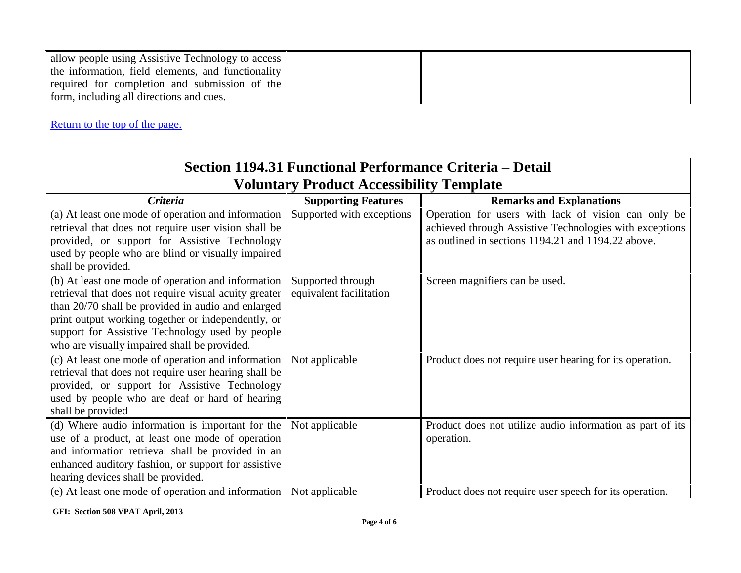| allow people using Assistive Technology to access<br>the information, field elements, and functionality |  |
|---------------------------------------------------------------------------------------------------------|--|
| required for completion and submission of the                                                           |  |
| form, including all directions and cues.                                                                |  |

[Return to the top of the page.](#page-0-0)

| Section 1194.31 Functional Performance Criteria – Detail                                                                                                                                                                                                                                                                   |                                              |                                                                                                                                                                      |  |
|----------------------------------------------------------------------------------------------------------------------------------------------------------------------------------------------------------------------------------------------------------------------------------------------------------------------------|----------------------------------------------|----------------------------------------------------------------------------------------------------------------------------------------------------------------------|--|
| <b>Voluntary Product Accessibility Template</b>                                                                                                                                                                                                                                                                            |                                              |                                                                                                                                                                      |  |
| Criteria                                                                                                                                                                                                                                                                                                                   | <b>Supporting Features</b>                   | <b>Remarks and Explanations</b>                                                                                                                                      |  |
| (a) At least one mode of operation and information<br>retrieval that does not require user vision shall be<br>provided, or support for Assistive Technology<br>used by people who are blind or visually impaired<br>shall be provided.                                                                                     | Supported with exceptions                    | Operation for users with lack of vision can only be<br>achieved through Assistive Technologies with exceptions<br>as outlined in sections 1194.21 and 1194.22 above. |  |
| (b) At least one mode of operation and information<br>retrieval that does not require visual acuity greater<br>than 20/70 shall be provided in audio and enlarged<br>print output working together or independently, or<br>support for Assistive Technology used by people<br>who are visually impaired shall be provided. | Supported through<br>equivalent facilitation | Screen magnifiers can be used.                                                                                                                                       |  |
| (c) At least one mode of operation and information<br>retrieval that does not require user hearing shall be<br>provided, or support for Assistive Technology<br>used by people who are deaf or hard of hearing<br>shall be provided                                                                                        | Not applicable                               | Product does not require user hearing for its operation.                                                                                                             |  |
| (d) Where audio information is important for the<br>use of a product, at least one mode of operation<br>and information retrieval shall be provided in an<br>enhanced auditory fashion, or support for assistive<br>hearing devices shall be provided.                                                                     | Not applicable                               | Product does not utilize audio information as part of its<br>operation.                                                                                              |  |
| (e) At least one mode of operation and information   Not applicable                                                                                                                                                                                                                                                        |                                              | Product does not require user speech for its operation.                                                                                                              |  |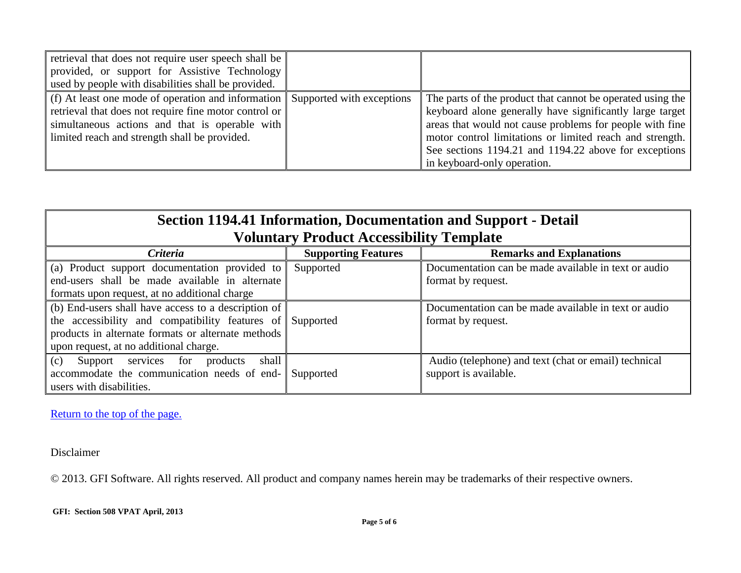| retrieval that does not require user speech shall be<br>provided, or support for Assistive Technology<br>used by people with disabilities shall be provided.                                                                             |                                                                                                                                                                                                                                                                                                                                        |
|------------------------------------------------------------------------------------------------------------------------------------------------------------------------------------------------------------------------------------------|----------------------------------------------------------------------------------------------------------------------------------------------------------------------------------------------------------------------------------------------------------------------------------------------------------------------------------------|
| (f) At least one mode of operation and information Supported with exceptions<br>retrieval that does not require fine motor control or<br>simultaneous actions and that is operable with<br>limited reach and strength shall be provided. | The parts of the product that cannot be operated using the<br>keyboard alone generally have significantly large target<br>areas that would not cause problems for people with fine<br>motor control limitations or limited reach and strength.<br>See sections 1194.21 and 1194.22 above for exceptions<br>in keyboard-only operation. |

| Section 1194.41 Information, Documentation and Support - Detail<br><b>Voluntary Product Accessibility Template</b>                                                                                               |                            |                                                                               |
|------------------------------------------------------------------------------------------------------------------------------------------------------------------------------------------------------------------|----------------------------|-------------------------------------------------------------------------------|
| <b>Criteria</b>                                                                                                                                                                                                  | <b>Supporting Features</b> | <b>Remarks and Explanations</b>                                               |
| (a) Product support documentation provided to<br>end-users shall be made available in alternate<br>formats upon request, at no additional charge                                                                 | Supported                  | Documentation can be made available in text or audio<br>format by request.    |
| (b) End-users shall have access to a description of<br>the accessibility and compatibility features of Supported<br>products in alternate formats or alternate methods<br>upon request, at no additional charge. |                            | Documentation can be made available in text or audio<br>format by request.    |
| Support services for<br>shall<br>(c)<br>products<br>accommodate the communication needs of end-<br>users with disabilities.                                                                                      | Supported                  | Audio (telephone) and text (chat or email) technical<br>support is available. |

 $\overline{a}$ 

[Return to the top of the page.](#page-0-0)

Disclaimer

© 2013. GFI Software. All rights reserved. All product and company names herein may be trademarks of their respective owners.